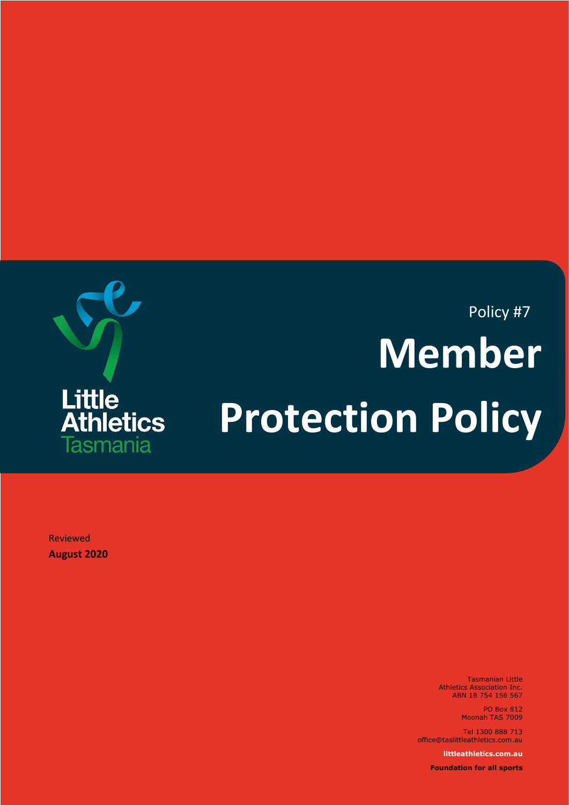

# Policy #7 **Member Protection Policy**

Reviewed **August 2020**

> Tasmanian Little Athletics Association Inc. ABN 18 754 156 567

> > PO Box 812 Moonah TAS 7009

Tel 1300 888 713 office@taslittleathletics.com.au

**littleathletics.com.au**

**Foundation for all sports**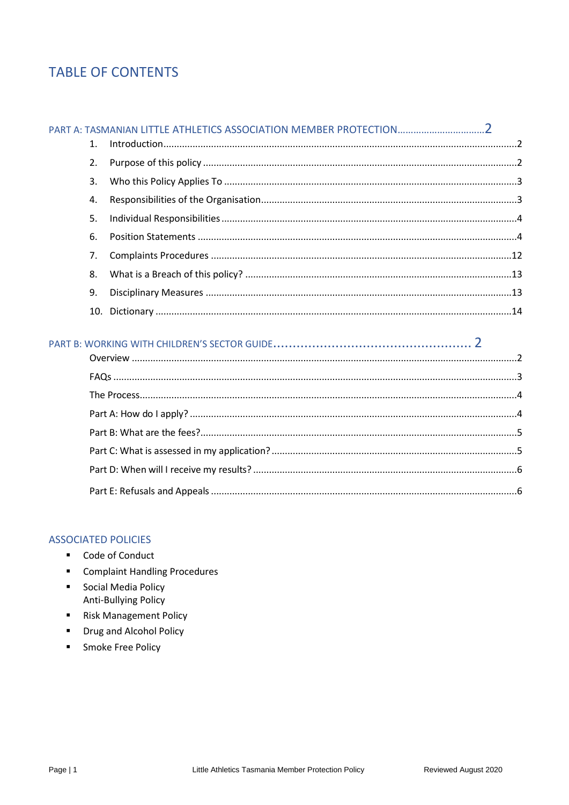# **TABLE OF CONTENTS**

| $1_{-}$ |  |
|---------|--|
| 2.      |  |
|         |  |
| 4.      |  |
| 5.      |  |
| 6.      |  |
| 7.      |  |
| 8.      |  |
| 9.      |  |
|         |  |

## 

## **ASSOCIATED POLICIES**

- Code of Conduct
- " Complaint Handling Procedures
- Social Media Policy Anti-Bullying Policy
- Risk Management Policy
- " Drug and Alcohol Policy
- Smoke Free Policy  $\blacksquare$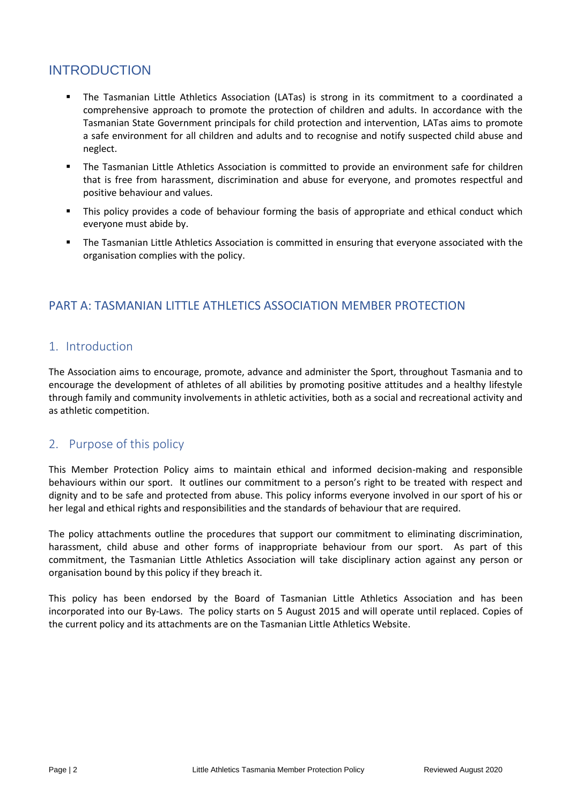# INTRODUCTION

- The Tasmanian Little Athletics Association (LATas) is strong in its commitment to a coordinated a comprehensive approach to promote the protection of children and adults. In accordance with the Tasmanian State Government principals for child protection and intervention, LATas aims to promote a safe environment for all children and adults and to recognise and notify suspected child abuse and neglect.
- The Tasmanian Little Athletics Association is committed to provide an environment safe for children that is free from harassment, discrimination and abuse for everyone, and promotes respectful and positive behaviour and values.
- This policy provides a code of behaviour forming the basis of appropriate and ethical conduct which everyone must abide by.
- The Tasmanian Little Athletics Association is committed in ensuring that everyone associated with the organisation complies with the policy.

## <span id="page-2-0"></span>PART A: TASMANIAN LITTLE ATHLETICS ASSOCIATION MEMBER PROTECTION

## <span id="page-2-1"></span>1. Introduction

The Association aims to encourage, promote, advance and administer the Sport, throughout Tasmania and to encourage the development of athletes of all abilities by promoting positive attitudes and a healthy lifestyle through family and community involvements in athletic activities, both as a social and recreational activity and as athletic competition.

## <span id="page-2-2"></span>2. Purpose of this policy

This Member Protection Policy aims to maintain ethical and informed decision-making and responsible behaviours within our sport. It outlines our commitment to a person's right to be treated with respect and dignity and to be safe and protected from abuse. This policy informs everyone involved in our sport of his or her legal and ethical rights and responsibilities and the standards of behaviour that are required.

The policy attachments outline the procedures that support our commitment to eliminating discrimination, harassment, child abuse and other forms of inappropriate behaviour from our sport. As part of this commitment, the Tasmanian Little Athletics Association will take disciplinary action against any person or organisation bound by this policy if they breach it.

This policy has been endorsed by the Board of Tasmanian Little Athletics Association and has been incorporated into our By-Laws. The policy starts on 5 August 2015 and will operate until replaced. Copies of the current policy and its attachments are on the Tasmanian Little Athletics Website.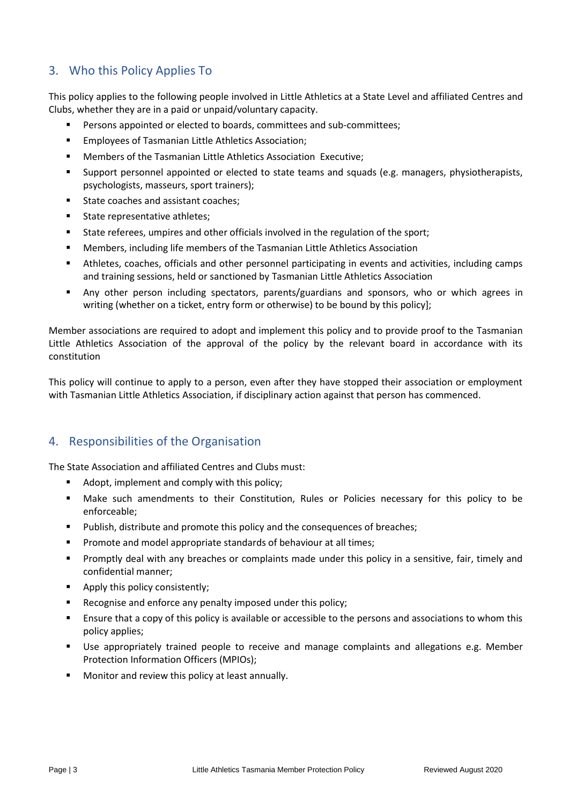# <span id="page-3-0"></span>3. Who this Policy Applies To

This policy applies to the following people involved in Little Athletics at a State Level and affiliated Centres and Clubs, whether they are in a paid or unpaid/voluntary capacity.

- Persons appointed or elected to boards, committees and sub-committees:
- Employees of Tasmanian Little Athletics Association;
- Members of the Tasmanian Little Athletics Association Executive:
- Support personnel appointed or elected to state teams and squads (e.g. managers, physiotherapists, psychologists, masseurs, sport trainers);
- State coaches and assistant coaches;
- State representative athletes;
- State referees, umpires and other officials involved in the regulation of the sport;
- Members, including life members of the Tasmanian Little Athletics Association
- Athletes, coaches, officials and other personnel participating in events and activities, including camps and training sessions, held or sanctioned by Tasmanian Little Athletics Association
- **■** Any other person including spectators, parents/guardians and sponsors, who or which agrees in writing (whether on a ticket, entry form or otherwise) to be bound by this policy];

Member associations are required to adopt and implement this policy and to provide proof to the Tasmanian Little Athletics Association of the approval of the policy by the relevant board in accordance with its constitution

This policy will continue to apply to a person, even after they have stopped their association or employment with Tasmanian Little Athletics Association, if disciplinary action against that person has commenced.

## <span id="page-3-1"></span>4. Responsibilities of the Organisation

The State Association and affiliated Centres and Clubs must:

- Adopt, implement and comply with this policy:
- Make such amendments to their Constitution, Rules or Policies necessary for this policy to be enforceable;
- Publish, distribute and promote this policy and the consequences of breaches;
- Promote and model appropriate standards of behaviour at all times;
- Promptly deal with any breaches or complaints made under this policy in a sensitive, fair, timely and confidential manner;
- Apply this policy consistently;
- Recognise and enforce any penalty imposed under this policy;
- Ensure that a copy of this policy is available or accessible to the persons and associations to whom this policy applies;
- Use appropriately trained people to receive and manage complaints and allegations e.g. Member Protection Information Officers (MPIOs);
- Monitor and review this policy at least annually.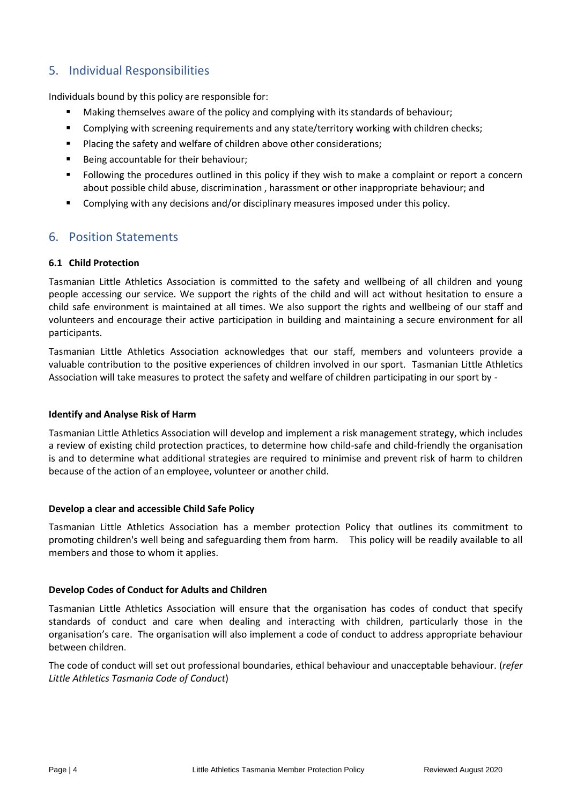## <span id="page-4-0"></span>5. Individual Responsibilities

Individuals bound by this policy are responsible for:

- Making themselves aware of the policy and complying with its standards of behaviour;
- **•** Complying with screening requirements and any state/territory working with children checks;
- Placing the safety and welfare of children above other considerations:
- Being accountable for their behaviour;
- Following the procedures outlined in this policy if they wish to make a complaint or report a concern about possible child abuse, discrimination , harassment or other inappropriate behaviour; and
- **Complying with any decisions and/or disciplinary measures imposed under this policy.**

## <span id="page-4-1"></span>6. Position Statements

## **6.1 Child Protection**

Tasmanian Little Athletics Association is committed to the safety and wellbeing of all children and young people accessing our service. We support the rights of the child and will act without hesitation to ensure a child safe environment is maintained at all times. We also support the rights and wellbeing of our staff and volunteers and encourage their active participation in building and maintaining a secure environment for all participants.

Tasmanian Little Athletics Association acknowledges that our staff, members and volunteers provide a valuable contribution to the positive experiences of children involved in our sport. Tasmanian Little Athletics Association will take measures to protect the safety and welfare of children participating in our sport by -

## **Identify and Analyse Risk of Harm**

Tasmanian Little Athletics Association will develop and implement a risk management strategy, which includes a review of existing child protection practices, to determine how child-safe and child-friendly the organisation is and to determine what additional strategies are required to minimise and prevent risk of harm to children because of the action of an employee, volunteer or another child.

## **Develop a clear and accessible Child Safe Policy**

Tasmanian Little Athletics Association has a member protection Policy that outlines its commitment to promoting children's well being and safeguarding them from harm. This policy will be readily available to all members and those to whom it applies.

## **Develop Codes of Conduct for Adults and Children**

Tasmanian Little Athletics Association will ensure that the organisation has codes of conduct that specify standards of conduct and care when dealing and interacting with children, particularly those in the organisation's care. The organisation will also implement a code of conduct to address appropriate behaviour between children.

The code of conduct will set out professional boundaries, ethical behaviour and unacceptable behaviour. (*refer Little Athletics Tasmania Code of Conduct*)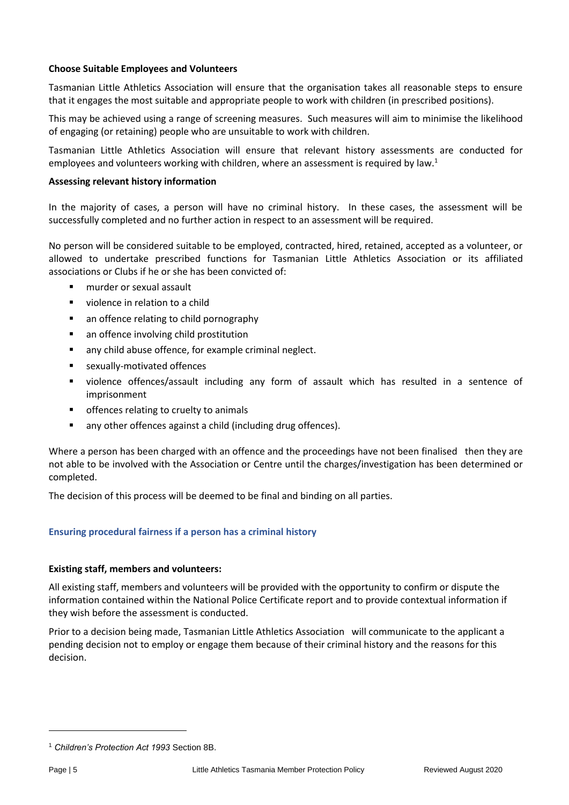## **Choose Suitable Employees and Volunteers**

Tasmanian Little Athletics Association will ensure that the organisation takes all reasonable steps to ensure that it engages the most suitable and appropriate people to work with children (in prescribed positions).

This may be achieved using a range of screening measures. Such measures will aim to minimise the likelihood of engaging (or retaining) people who are unsuitable to work with children.

Tasmanian Little Athletics Association will ensure that relevant history assessments are conducted for employees and volunteers working with children, where an assessment is required by law.<sup>1</sup>

## **Assessing relevant history information**

In the majority of cases, a person will have no criminal history. In these cases, the assessment will be successfully completed and no further action in respect to an assessment will be required.

No person will be considered suitable to be employed, contracted, hired, retained, accepted as a volunteer, or allowed to undertake prescribed functions for Tasmanian Little Athletics Association or its affiliated associations or Clubs if he or she has been convicted of:

- murder or sexual assault
- violence in relation to a child
- an offence relating to child pornography
- an offence involving child prostitution
- any child abuse offence, for example criminal neglect.
- sexually-motivated offences
- violence offences/assault including any form of assault which has resulted in a sentence of imprisonment
- offences relating to cruelty to animals
- any other offences against a child (including drug offences).

Where a person has been charged with an offence and the proceedings have not been finalised then they are not able to be involved with the Association or Centre until the charges/investigation has been determined or completed.

The decision of this process will be deemed to be final and binding on all parties.

## **Ensuring procedural fairness if a person has a criminal history**

## **Existing staff, members and volunteers:**

All existing staff, members and volunteers will be provided with the opportunity to confirm or dispute the information contained within the National Police Certificate report and to provide contextual information if they wish before the assessment is conducted.

Prior to a decision being made, Tasmanian Little Athletics Association will communicate to the applicant a pending decision not to employ or engage them because of their criminal history and the reasons for this decision.

<sup>1</sup> *Children's Protection Act 1993* Section 8B.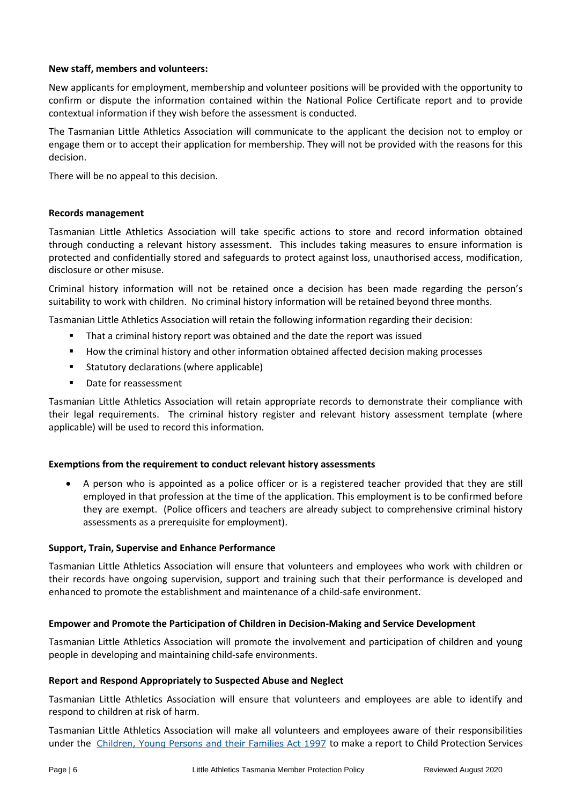## **New staff, members and volunteers:**

New applicants for employment, membership and volunteer positions will be provided with the opportunity to confirm or dispute the information contained within the National Police Certificate report and to provide contextual information if they wish before the assessment is conducted.

The Tasmanian Little Athletics Association will communicate to the applicant the decision not to employ or engage them or to accept their application for membership. They will not be provided with the reasons for this decision.

There will be no appeal to this decision.

## **Records management**

Tasmanian Little Athletics Association will take specific actions to store and record information obtained through conducting a relevant history assessment. This includes taking measures to ensure information is protected and confidentially stored and safeguards to protect against loss, unauthorised access, modification, disclosure or other misuse.

Criminal history information will not be retained once a decision has been made regarding the person's suitability to work with children. No criminal history information will be retained beyond three months.

Tasmanian Little Athletics Association will retain the following information regarding their decision:

- That a criminal history report was obtained and the date the report was issued
- How the criminal history and other information obtained affected decision making processes
- Statutory declarations (where applicable)
- Date for reassessment

Tasmanian Little Athletics Association will retain appropriate records to demonstrate their compliance with their legal requirements. The criminal history register and relevant history assessment template (where applicable) will be used to record this information.

## **Exemptions from the requirement to conduct relevant history assessments**

• A person who is appointed as a police officer or is a registered teacher provided that they are still employed in that profession at the time of the application. This employment is to be confirmed before they are exempt. (Police officers and teachers are already subject to comprehensive criminal history assessments as a prerequisite for employment).

## **Support, Train, Supervise and Enhance Performance**

Tasmanian Little Athletics Association will ensure that volunteers and employees who work with children or their records have ongoing supervision, support and training such that their performance is developed and enhanced to promote the establishment and maintenance of a child-safe environment.

## **Empower and Promote the Participation of Children in Decision-Making and Service Development**

Tasmanian Little Athletics Association will promote the involvement and participation of children and young people in developing and maintaining child-safe environments.

## **Report and Respond Appropriately to Suspected Abuse and Neglect**

Tasmanian Little Athletics Association will ensure that volunteers and employees are able to identify and respond to children at risk of harm.

Tasmanian Little Athletics Association will make all volunteers and employees aware of their responsibilities under the [Children,](https://www.dhhs.tas.gov.au/children/child_protection_services/children,_young_persons_and_their_families) Young Persons and their Families Act 1997 to make a report to Child Protection Services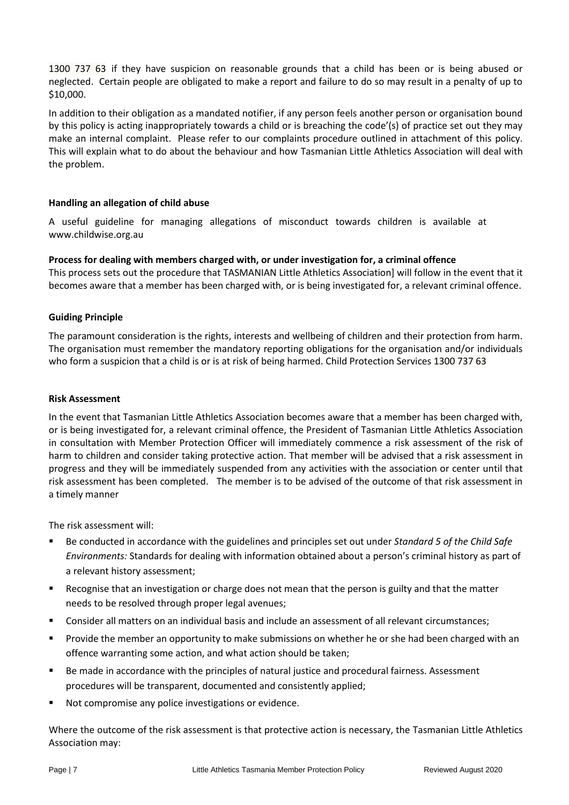1300 737 63 if they have suspicion on reasonable grounds that a child has been or is being abused or neglected. Certain people are obligated to make a report and failure to do so may result in a penalty of up to \$10,000.

In addition to their obligation as a mandated notifier, if any person feels another person or organisation bound by this policy is acting inappropriately towards a child or is breaching the code'(s) of practice set out they may make an internal complaint. Please refer to our complaints procedure outlined in attachment of this policy. This will explain what to do about the behaviour and how Tasmanian Little Athletics Association will deal with the problem.

## **Handling an allegation of child abuse**

A useful guideline for managing allegations of misconduct towards children is available at www.childwise.org.au

## **Process for dealing with members charged with, or under investigation for, a criminal offence**

This process sets out the procedure that TASMANIAN Little Athletics Association] will follow in the event that it becomes aware that a member has been charged with, or is being investigated for, a relevant criminal offence.

## **Guiding Principle**

The paramount consideration is the rights, interests and wellbeing of children and their protection from harm. The organisation must remember the mandatory reporting obligations for the organisation and/or individuals who form a suspicion that a child is or is at risk of being harmed. Child Protection Services 1300 737 63

## **Risk Assessment**

In the event that Tasmanian Little Athletics Association becomes aware that a member has been charged with, or is being investigated for, a relevant criminal offence, the President of Tasmanian Little Athletics Association in consultation with Member Protection Officer will immediately commence a risk assessment of the risk of harm to children and consider taking protective action. That member will be advised that a risk assessment in progress and they will be immediately suspended from any activities with the association or center until that risk assessment has been completed. The member is to be advised of the outcome of that risk assessment in a timely manner

The risk assessment will:

- Be conducted in accordance with the guidelines and principles set out under *Standard 5 of the Child Safe Environments:* Standards for dealing with information obtained about a person's criminal history as part of a relevant history assessment;
- Recognise that an investigation or charge does not mean that the person is guilty and that the matter needs to be resolved through proper legal avenues;
- Consider all matters on an individual basis and include an assessment of all relevant circumstances;
- Provide the member an opportunity to make submissions on whether he or she had been charged with an offence warranting some action, and what action should be taken;
- Be made in accordance with the principles of natural justice and procedural fairness. Assessment procedures will be transparent, documented and consistently applied;
- Not compromise any police investigations or evidence.

Where the outcome of the risk assessment is that protective action is necessary, the Tasmanian Little Athletics Association may: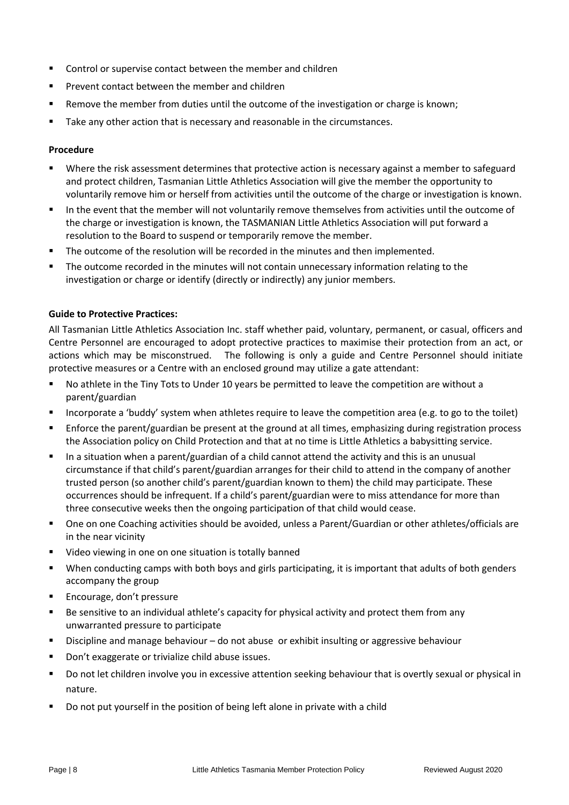- Control or supervise contact between the member and children
- Prevent contact between the member and children
- Remove the member from duties until the outcome of the investigation or charge is known;
- Take any other action that is necessary and reasonable in the circumstances.

#### **Procedure**

- Where the risk assessment determines that protective action is necessary against a member to safeguard and protect children, Tasmanian Little Athletics Association will give the member the opportunity to voluntarily remove him or herself from activities until the outcome of the charge or investigation is known.
- In the event that the member will not voluntarily remove themselves from activities until the outcome of the charge or investigation is known, the TASMANIAN Little Athletics Association will put forward a resolution to the Board to suspend or temporarily remove the member.
- The outcome of the resolution will be recorded in the minutes and then implemented.
- The outcome recorded in the minutes will not contain unnecessary information relating to the investigation or charge or identify (directly or indirectly) any junior members.

## **Guide to Protective Practices:**

All Tasmanian Little Athletics Association Inc. staff whether paid, voluntary, permanent, or casual, officers and Centre Personnel are encouraged to adopt protective practices to maximise their protection from an act, or actions which may be misconstrued. The following is only a guide and Centre Personnel should initiate protective measures or a Centre with an enclosed ground may utilize a gate attendant:

- No athlete in the Tiny Tots to Under 10 years be permitted to leave the competition are without a parent/guardian
- Incorporate a 'buddy' system when athletes require to leave the competition area (e.g. to go to the toilet)
- Enforce the parent/guardian be present at the ground at all times, emphasizing during registration process the Association policy on Child Protection and that at no time is Little Athletics a babysitting service.
- In a situation when a parent/guardian of a child cannot attend the activity and this is an unusual circumstance if that child's parent/guardian arranges for their child to attend in the company of another trusted person (so another child's parent/guardian known to them) the child may participate. These occurrences should be infrequent. If a child's parent/guardian were to miss attendance for more than three consecutive weeks then the ongoing participation of that child would cease.
- One on one Coaching activities should be avoided, unless a Parent/Guardian or other athletes/officials are in the near vicinity
- Video viewing in one on one situation is totally banned
- When conducting camps with both boys and girls participating, it is important that adults of both genders accompany the group
- Encourage, don't pressure
- Be sensitive to an individual athlete's capacity for physical activity and protect them from any unwarranted pressure to participate
- Discipline and manage behaviour do not abuse or exhibit insulting or aggressive behaviour
- Don't exaggerate or trivialize child abuse issues.
- Do not let children involve you in excessive attention seeking behaviour that is overtly sexual or physical in nature.
- Do not put yourself in the position of being left alone in private with a child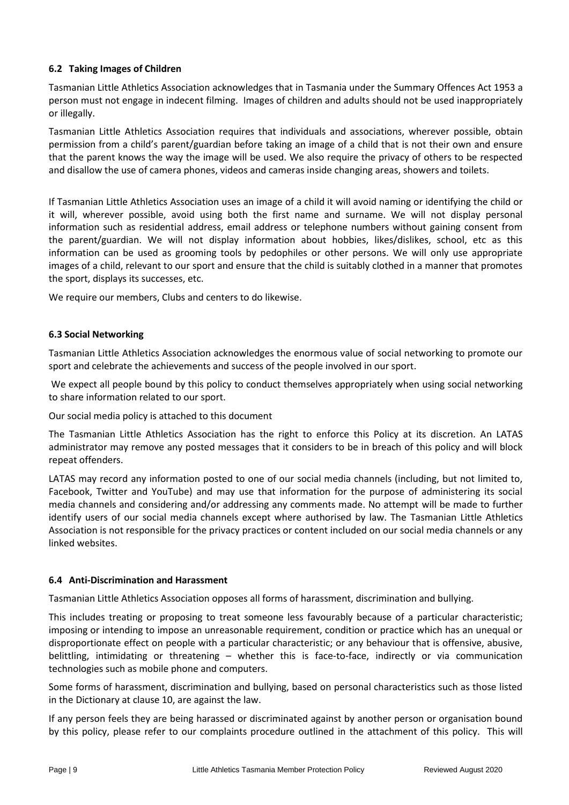## **6.2 Taking Images of Children**

Tasmanian Little Athletics Association acknowledges that in Tasmania under the Summary Offences Act 1953 a person must not engage in indecent filming. Images of children and adults should not be used inappropriately or illegally.

Tasmanian Little Athletics Association requires that individuals and associations, wherever possible, obtain permission from a child's parent/guardian before taking an image of a child that is not their own and ensure that the parent knows the way the image will be used. We also require the privacy of others to be respected and disallow the use of camera phones, videos and cameras inside changing areas, showers and toilets.

If Tasmanian Little Athletics Association uses an image of a child it will avoid naming or identifying the child or it will, wherever possible, avoid using both the first name and surname. We will not display personal information such as residential address, email address or telephone numbers without gaining consent from the parent/guardian. We will not display information about hobbies, likes/dislikes, school, etc as this information can be used as grooming tools by pedophiles or other persons. We will only use appropriate images of a child, relevant to our sport and ensure that the child is suitably clothed in a manner that promotes the sport, displays its successes, etc.

We require our members, Clubs and centers to do likewise.

## **6.3 Social Networking**

Tasmanian Little Athletics Association acknowledges the enormous value of social networking to promote our sport and celebrate the achievements and success of the people involved in our sport.

We expect all people bound by this policy to conduct themselves appropriately when using social networking to share information related to our sport.

Our social media policy is attached to this document

The Tasmanian Little Athletics Association has the right to enforce this Policy at its discretion. An LATAS administrator may remove any posted messages that it considers to be in breach of this policy and will block repeat offenders.

LATAS may record any information posted to one of our social media channels (including, but not limited to, Facebook, Twitter and YouTube) and may use that information for the purpose of administering its social media channels and considering and/or addressing any comments made. No attempt will be made to further identify users of our social media channels except where authorised by law. The Tasmanian Little Athletics Association is not responsible for the privacy practices or content included on our social media channels or any linked websites.

## **6.4 Anti-Discrimination and Harassment**

Tasmanian Little Athletics Association opposes all forms of harassment, discrimination and bullying.

This includes treating or proposing to treat someone less favourably because of a particular characteristic; imposing or intending to impose an unreasonable requirement, condition or practice which has an unequal or disproportionate effect on people with a particular characteristic; or any behaviour that is offensive, abusive, belittling, intimidating or threatening – whether this is face-to-face, indirectly or via communication technologies such as mobile phone and computers.

Some forms of harassment, discrimination and bullying, based on personal characteristics such as those listed in the Dictionary at clause 10, are against the law.

If any person feels they are being harassed or discriminated against by another person or organisation bound by this policy, please refer to our complaints procedure outlined in the attachment of this policy. This will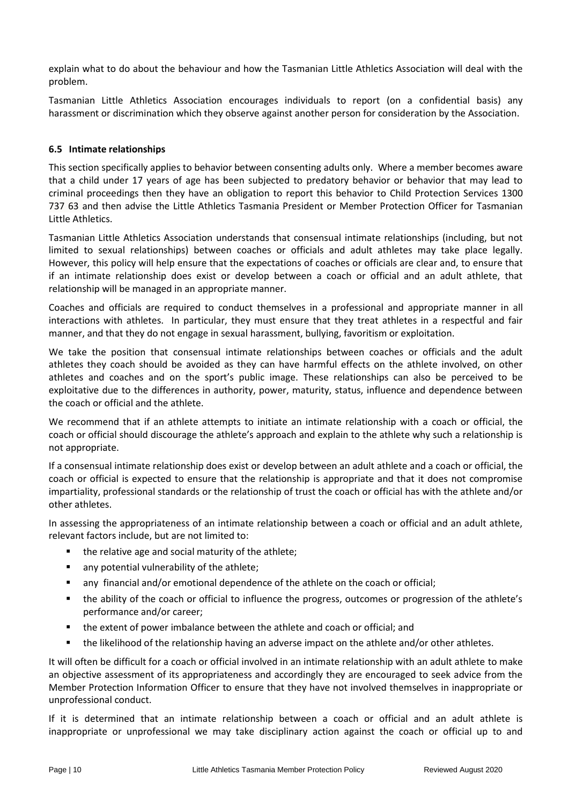explain what to do about the behaviour and how the Tasmanian Little Athletics Association will deal with the problem.

Tasmanian Little Athletics Association encourages individuals to report (on a confidential basis) any harassment or discrimination which they observe against another person for consideration by the Association.

## **6.5 Intimate relationships**

This section specifically applies to behavior between consenting adults only. Where a member becomes aware that a child under 17 years of age has been subjected to predatory behavior or behavior that may lead to criminal proceedings then they have an obligation to report this behavior to Child Protection Services 1300 737 63 and then advise the Little Athletics Tasmania President or Member Protection Officer for Tasmanian Little Athletics.

Tasmanian Little Athletics Association understands that consensual intimate relationships (including, but not limited to sexual relationships) between coaches or officials and adult athletes may take place legally. However, this policy will help ensure that the expectations of coaches or officials are clear and, to ensure that if an intimate relationship does exist or develop between a coach or official and an adult athlete, that relationship will be managed in an appropriate manner.

Coaches and officials are required to conduct themselves in a professional and appropriate manner in all interactions with athletes. In particular, they must ensure that they treat athletes in a respectful and fair manner, and that they do not engage in sexual harassment, bullying, favoritism or exploitation.

We take the position that consensual intimate relationships between coaches or officials and the adult athletes they coach should be avoided as they can have harmful effects on the athlete involved, on other athletes and coaches and on the sport's public image. These relationships can also be perceived to be exploitative due to the differences in authority, power, maturity, status, influence and dependence between the coach or official and the athlete.

We recommend that if an athlete attempts to initiate an intimate relationship with a coach or official, the coach or official should discourage the athlete's approach and explain to the athlete why such a relationship is not appropriate.

If a consensual intimate relationship does exist or develop between an adult athlete and a coach or official, the coach or official is expected to ensure that the relationship is appropriate and that it does not compromise impartiality, professional standards or the relationship of trust the coach or official has with the athlete and/or other athletes.

In assessing the appropriateness of an intimate relationship between a coach or official and an adult athlete, relevant factors include, but are not limited to:

- the relative age and social maturity of the athlete:
- any potential vulnerability of the athlete;
- any financial and/or emotional dependence of the athlete on the coach or official;
- the ability of the coach or official to influence the progress, outcomes or progression of the athlete's performance and/or career;
- the extent of power imbalance between the athlete and coach or official; and
- the likelihood of the relationship having an adverse impact on the athlete and/or other athletes.

It will often be difficult for a coach or official involved in an intimate relationship with an adult athlete to make an objective assessment of its appropriateness and accordingly they are encouraged to seek advice from the Member Protection Information Officer to ensure that they have not involved themselves in inappropriate or unprofessional conduct.

If it is determined that an intimate relationship between a coach or official and an adult athlete is inappropriate or unprofessional we may take disciplinary action against the coach or official up to and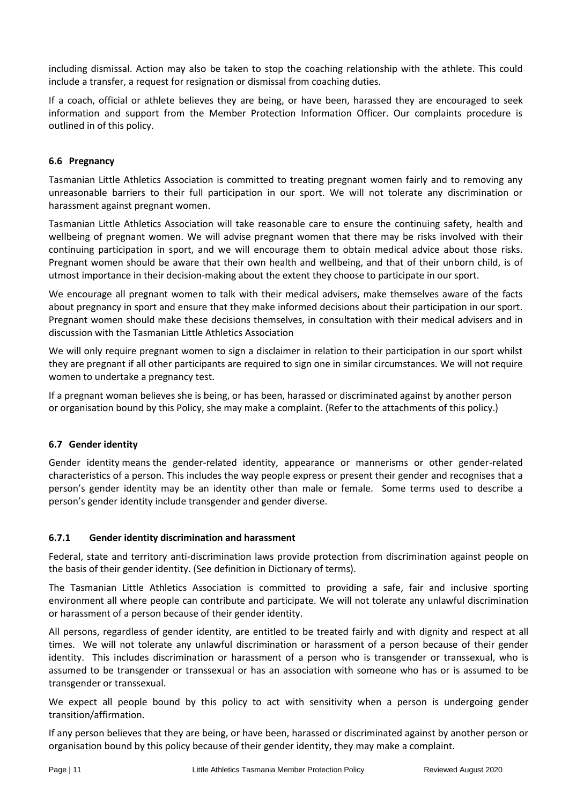including dismissal. Action may also be taken to stop the coaching relationship with the athlete. This could include a transfer, a request for resignation or dismissal from coaching duties.

If a coach, official or athlete believes they are being, or have been, harassed they are encouraged to seek information and support from the Member Protection Information Officer. Our complaints procedure is outlined in of this policy.

## **6.6 Pregnancy**

Tasmanian Little Athletics Association is committed to treating pregnant women fairly and to removing any unreasonable barriers to their full participation in our sport. We will not tolerate any discrimination or harassment against pregnant women.

Tasmanian Little Athletics Association will take reasonable care to ensure the continuing safety, health and wellbeing of pregnant women. We will advise pregnant women that there may be risks involved with their continuing participation in sport, and we will encourage them to obtain medical advice about those risks. Pregnant women should be aware that their own health and wellbeing, and that of their unborn child, is of utmost importance in their decision-making about the extent they choose to participate in our sport.

We encourage all pregnant women to talk with their medical advisers, make themselves aware of the facts about pregnancy in sport and ensure that they make informed decisions about their participation in our sport. Pregnant women should make these decisions themselves, in consultation with their medical advisers and in discussion with the Tasmanian Little Athletics Association

We will only require pregnant women to sign a disclaimer in relation to their participation in our sport whilst they are pregnant if all other participants are required to sign one in similar circumstances. We will not require women to undertake a pregnancy test.

If a pregnant woman believes she is being, or has been, harassed or discriminated against by another person or organisation bound by this Policy, she may make a complaint. (Refer to the attachments of this policy.)

## **6.7 Gender identity**

Gender identity means the gender-related identity, appearance or mannerisms or other gender-related characteristics of a person. This includes the way people express or present their gender and recognises that a person's gender identity may be an identity other than male or female. Some terms used to describe a person's gender identity include transgender and gender diverse.

## **6.7.1 Gender identity discrimination and harassment**

Federal, state and territory anti-discrimination laws provide protection from discrimination against people on the basis of their gender identity. (See definition in Dictionary of terms).

The Tasmanian Little Athletics Association is committed to providing a safe, fair and inclusive sporting environment all where people can contribute and participate. We will not tolerate any unlawful discrimination or harassment of a person because of their gender identity.

All persons, regardless of gender identity, are entitled to be treated fairly and with dignity and respect at all times. We will not tolerate any unlawful discrimination or harassment of a person because of their gender identity. This includes discrimination or harassment of a person who is transgender or transsexual, who is assumed to be transgender or transsexual or has an association with someone who has or is assumed to be transgender or transsexual.

We expect all people bound by this policy to act with sensitivity when a person is undergoing gender transition/affirmation.

If any person believes that they are being, or have been, harassed or discriminated against by another person or organisation bound by this policy because of their gender identity, they may make a complaint.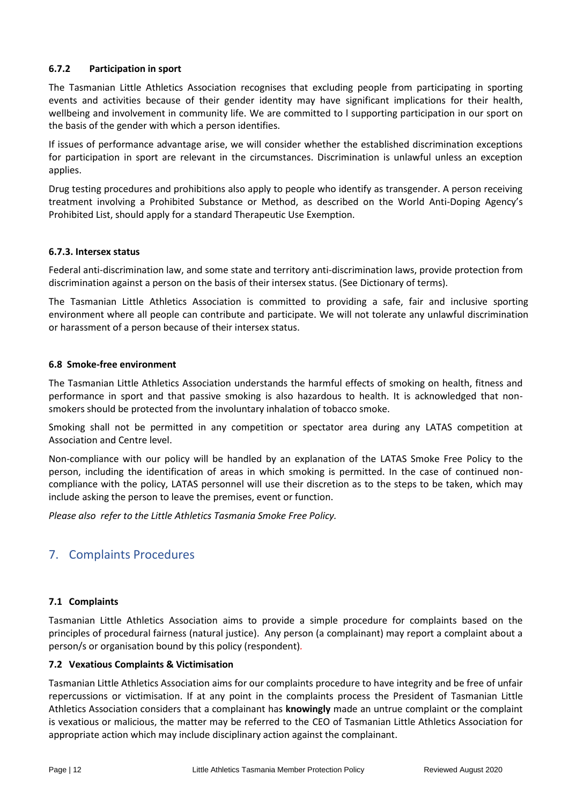## **6.7.2 Participation in sport**

The Tasmanian Little Athletics Association recognises that excluding people from participating in sporting events and activities because of their gender identity may have significant implications for their health, wellbeing and involvement in community life. We are committed to l supporting participation in our sport on the basis of the gender with which a person identifies.

If issues of performance advantage arise, we will consider whether the established discrimination exceptions for participation in sport are relevant in the circumstances. Discrimination is unlawful unless an exception applies.

Drug testing procedures and prohibitions also apply to people who identify as transgender. A person receiving treatment involving a Prohibited Substance or Method, as described on the World Anti-Doping Agency's Prohibited List, should apply for a standard Therapeutic Use Exemption.

## **6.7.3. Intersex status**

Federal anti-discrimination law, and some state and territory anti-discrimination laws, provide protection from discrimination against a person on the basis of their intersex status. (See Dictionary of terms).

The Tasmanian Little Athletics Association is committed to providing a safe, fair and inclusive sporting environment where all people can contribute and participate. We will not tolerate any unlawful discrimination or harassment of a person because of their intersex status.

## **6.8 Smoke-free environment**

The Tasmanian Little Athletics Association understands the harmful effects of smoking on health, fitness and performance in sport and that passive smoking is also hazardous to health. It is acknowledged that nonsmokers should be protected from the involuntary inhalation of tobacco smoke.

Smoking shall not be permitted in any competition or spectator area during any LATAS competition at Association and Centre level.

Non-compliance with our policy will be handled by an explanation of the LATAS Smoke Free Policy to the person, including the identification of areas in which smoking is permitted. In the case of continued noncompliance with the policy, LATAS personnel will use their discretion as to the steps to be taken, which may include asking the person to leave the premises, event or function.

*Please also refer to the Little Athletics Tasmania Smoke Free Policy.*

## <span id="page-12-0"></span>7. Complaints Procedures

## **7.1 Complaints**

Tasmanian Little Athletics Association aims to provide a simple procedure for complaints based on the principles of procedural fairness (natural justice). Any person (a complainant) may report a complaint about a person/s or organisation bound by this policy (respondent)*.*

## **7.2 Vexatious Complaints & Victimisation**

Tasmanian Little Athletics Association aims for our complaints procedure to have integrity and be free of unfair repercussions or victimisation. If at any point in the complaints process the President of Tasmanian Little Athletics Association considers that a complainant has **knowingly** made an untrue complaint or the complaint is vexatious or malicious, the matter may be referred to the CEO of Tasmanian Little Athletics Association for appropriate action which may include disciplinary action against the complainant.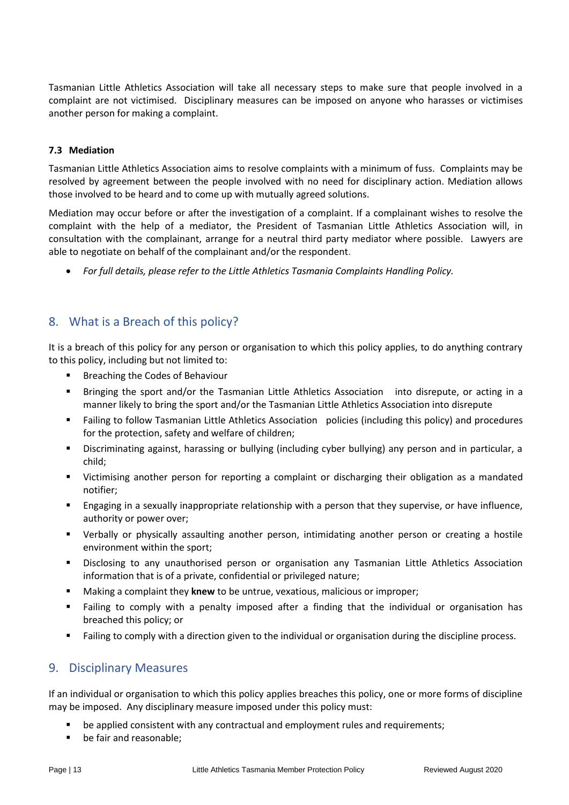Tasmanian Little Athletics Association will take all necessary steps to make sure that people involved in a complaint are not victimised. Disciplinary measures can be imposed on anyone who harasses or victimises another person for making a complaint.

## **7.3 Mediation**

Tasmanian Little Athletics Association aims to resolve complaints with a minimum of fuss. Complaints may be resolved by agreement between the people involved with no need for disciplinary action. Mediation allows those involved to be heard and to come up with mutually agreed solutions.

Mediation may occur before or after the investigation of a complaint. If a complainant wishes to resolve the complaint with the help of a mediator, the President of Tasmanian Little Athletics Association will, in consultation with the complainant, arrange for a neutral third party mediator where possible. Lawyers are able to negotiate on behalf of the complainant and/or the respondent.

• *For full details, please refer to the Little Athletics Tasmania Complaints Handling Policy.*

## <span id="page-13-0"></span>8. What is a Breach of this policy?

It is a breach of this policy for any person or organisation to which this policy applies, to do anything contrary to this policy, including but not limited to:

- Breaching the Codes of Behaviour
- Bringing the sport and/or the Tasmanian Little Athletics Association into disrepute, or acting in a manner likely to bring the sport and/or the Tasmanian Little Athletics Association into disrepute
- Failing to follow Tasmanian Little Athletics Association policies (including this policy) and procedures for the protection, safety and welfare of children;
- Discriminating against, harassing or bullying (including cyber bullying) any person and in particular, a child;
- Victimising another person for reporting a complaint or discharging their obligation as a mandated notifier;
- **Engaging in a sexually inappropriate relationship with a person that they supervise, or have influence,** authority or power over;
- Verbally or physically assaulting another person, intimidating another person or creating a hostile environment within the sport;
- Disclosing to any unauthorised person or organisation any Tasmanian Little Athletics Association information that is of a private, confidential or privileged nature;
- Making a complaint they **knew** to be untrue, vexatious, malicious or improper;
- Failing to comply with a penalty imposed after a finding that the individual or organisation has breached this policy; or
- Failing to comply with a direction given to the individual or organisation during the discipline process.

## <span id="page-13-1"></span>9. Disciplinary Measures

If an individual or organisation to which this policy applies breaches this policy, one or more forms of discipline may be imposed. Any disciplinary measure imposed under this policy must:

- be applied consistent with any contractual and employment rules and requirements;
- be fair and reasonable;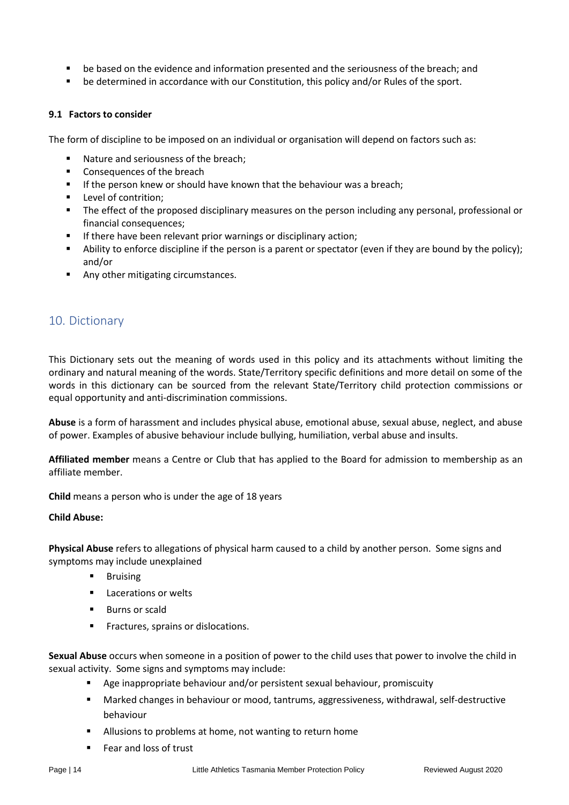- be based on the evidence and information presented and the seriousness of the breach; and
- be determined in accordance with our Constitution, this policy and/or Rules of the sport.

#### **9.1 Factors to consider**

The form of discipline to be imposed on an individual or organisation will depend on factors such as:

- Nature and seriousness of the breach;
- Consequences of the breach
- **E** If the person knew or should have known that the behaviour was a breach;
- Level of contrition:
- **•** The effect of the proposed disciplinary measures on the person including any personal, professional or financial consequences;
- If there have been relevant prior warnings or disciplinary action;
- Ability to enforce discipline if the person is a parent or spectator (even if they are bound by the policy); and/or
- Any other mitigating circumstances.

## <span id="page-14-0"></span>10. Dictionary

This Dictionary sets out the meaning of words used in this policy and its attachments without limiting the ordinary and natural meaning of the words. State/Territory specific definitions and more detail on some of the words in this dictionary can be sourced from the relevant State/Territory child protection commissions or equal opportunity and anti-discrimination commissions.

**Abuse** is a form of harassment and includes physical abuse, emotional abuse, sexual abuse, neglect, and abuse of power. Examples of abusive behaviour include bullying, humiliation, verbal abuse and insults.

**Affiliated member** means a Centre or Club that has applied to the Board for admission to membership as an affiliate member.

**Child** means a person who is under the age of 18 years

## **Child Abuse:**

**Physical Abuse** refers to allegations of physical harm caused to a child by another person. Some signs and symptoms may include unexplained

- Bruising
- Lacerations or welts
- Burns or scald
- Fractures, sprains or dislocations.

**Sexual Abuse** occurs when someone in a position of power to the child uses that power to involve the child in sexual activity. Some signs and symptoms may include:

- Age inappropriate behaviour and/or persistent sexual behaviour, promiscuity
- Marked changes in behaviour or mood, tantrums, aggressiveness, withdrawal, self-destructive behaviour
- Allusions to problems at home, not wanting to return home
- Fear and loss of trust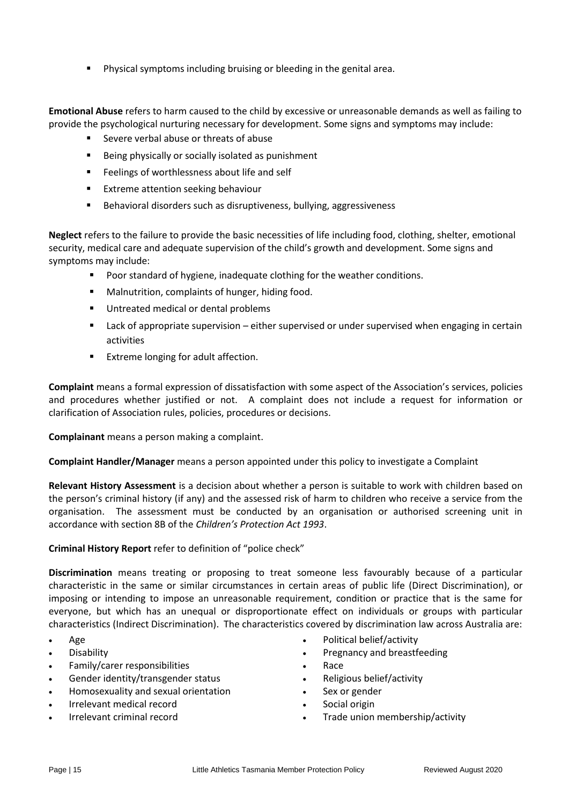Physical symptoms including bruising or bleeding in the genital area.

**Emotional Abuse** refers to harm caused to the child by excessive or unreasonable demands as well as failing to provide the psychological nurturing necessary for development. Some signs and symptoms may include:

- Severe verbal abuse or threats of abuse
- Being physically or socially isolated as punishment
- Feelings of worthlessness about life and self
- Extreme attention seeking behaviour
- Behavioral disorders such as disruptiveness, bullying, aggressiveness

**Neglect** refers to the failure to provide the basic necessities of life including food, clothing, shelter, emotional security, medical care and adequate supervision of the child's growth and development. Some signs and symptoms may include:

- Poor standard of hygiene, inadequate clothing for the weather conditions.
- Malnutrition, complaints of hunger, hiding food.
- Untreated medical or dental problems
- Lack of appropriate supervision either supervised or under supervised when engaging in certain activities
- Extreme longing for adult affection.

**Complaint** means a formal expression of dissatisfaction with some aspect of the Association's services, policies and procedures whether justified or not. A complaint does not include a request for information or clarification of Association rules, policies, procedures or decisions.

**Complainant** means a person making a complaint.

**Complaint Handler/Manager** means a person appointed under this policy to investigate a Complaint

**Relevant History Assessment** is a decision about whether a person is suitable to work with children based on the person's criminal history (if any) and the assessed risk of harm to children who receive a service from the organisation. The assessment must be conducted by an organisation or authorised screening unit in accordance with section 8B of the *Children's Protection Act 1993*.

**Criminal History Report** refer to definition of "police check"

**Discrimination** means treating or proposing to treat someone less favourably because of a particular characteristic in the same or similar circumstances in certain areas of public life (Direct Discrimination), or imposing or intending to impose an unreasonable requirement, condition or practice that is the same for everyone, but which has an unequal or disproportionate effect on individuals or groups with particular characteristics (Indirect Discrimination). The characteristics covered by discrimination law across Australia are:

- Age
- Disability
- Family/carer responsibilities
- Gender identity/transgender status
- Homosexuality and sexual orientation
- Irrelevant medical record
- Irrelevant criminal record
- Political belief/activity
- Pregnancy and breastfeeding
- Race
- Religious belief/activity
- Sex or gender
- Social origin
- Trade union membership/activity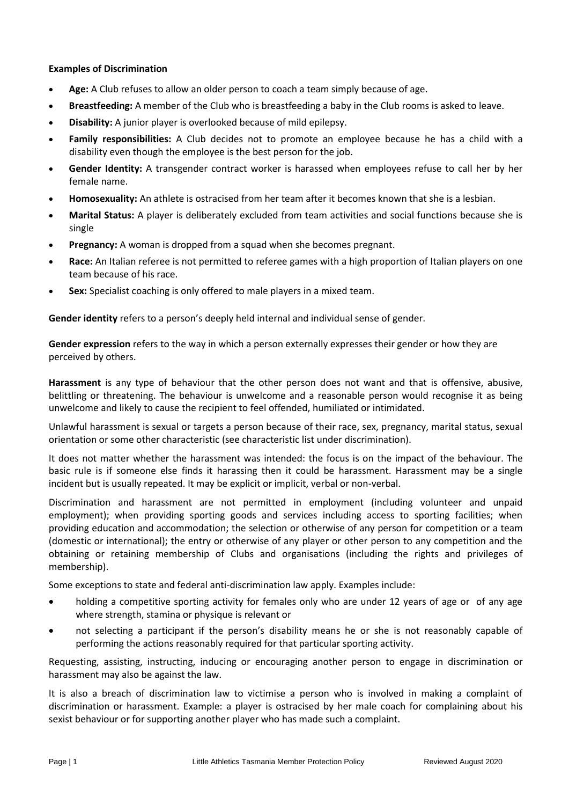## **Examples of Discrimination**

- **Age:** A Club refuses to allow an older person to coach a team simply because of age.
- **Breastfeeding:** A member of the Club who is breastfeeding a baby in the Club rooms is asked to leave.
- **Disability:** A junior player is overlooked because of mild epilepsy.
- **Family responsibilities:** A Club decides not to promote an employee because he has a child with a disability even though the employee is the best person for the job.
- **Gender Identity:** A transgender contract worker is harassed when employees refuse to call her by her female name.
- **Homosexuality:** An athlete is ostracised from her team after it becomes known that she is a lesbian.
- **Marital Status:** A player is deliberately excluded from team activities and social functions because she is single
- **Pregnancy:** A woman is dropped from a squad when she becomes pregnant.
- **Race:** An Italian referee is not permitted to referee games with a high proportion of Italian players on one team because of his race.
- **Sex:** Specialist coaching is only offered to male players in a mixed team.

**Gender identity** refers to a person's deeply held internal and individual sense of gender.

**Gender expression** refers to the way in which a person externally expresses their gender or how they are perceived by others.

**Harassment** is any type of behaviour that the other person does not want and that is offensive, abusive, belittling or threatening. The behaviour is unwelcome and a reasonable person would recognise it as being unwelcome and likely to cause the recipient to feel offended, humiliated or intimidated.

Unlawful harassment is sexual or targets a person because of their race, sex, pregnancy, marital status, sexual orientation or some other characteristic (see characteristic list under discrimination).

It does not matter whether the harassment was intended: the focus is on the impact of the behaviour. The basic rule is if someone else finds it harassing then it could be harassment. Harassment may be a single incident but is usually repeated. It may be explicit or implicit, verbal or non-verbal.

Discrimination and harassment are not permitted in employment (including volunteer and unpaid employment); when providing sporting goods and services including access to sporting facilities; when providing education and accommodation; the selection or otherwise of any person for competition or a team (domestic or international); the entry or otherwise of any player or other person to any competition and the obtaining or retaining membership of Clubs and organisations (including the rights and privileges of membership).

Some exceptions to state and federal anti-discrimination law apply. Examples include:

- holding a competitive sporting activity for females only who are under 12 years of age or of any age where strength, stamina or physique is relevant or
- not selecting a participant if the person's disability means he or she is not reasonably capable of performing the actions reasonably required for that particular sporting activity.

Requesting, assisting, instructing, inducing or encouraging another person to engage in discrimination or harassment may also be against the law.

It is also a breach of discrimination law to victimise a person who is involved in making a complaint of discrimination or harassment. Example: a player is ostracised by her male coach for complaining about his sexist behaviour or for supporting another player who has made such a complaint.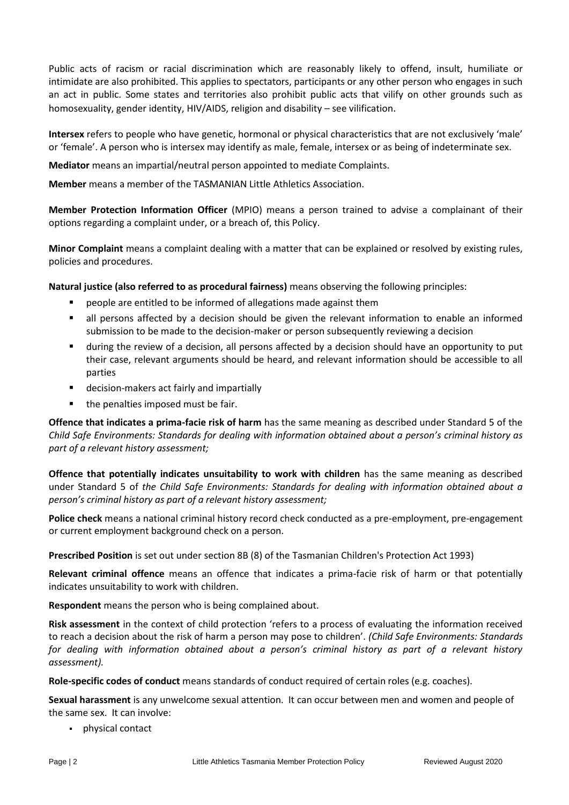Public acts of racism or racial discrimination which are reasonably likely to offend, insult, humiliate or intimidate are also prohibited. This applies to spectators, participants or any other person who engages in such an act in public. Some states and territories also prohibit public acts that vilify on other grounds such as homosexuality, gender identity, HIV/AIDS, religion and disability – see vilification.

**Intersex** refers to people who have genetic, hormonal or physical characteristics that are not exclusively 'male' or 'female'. A person who is intersex may identify as male, female, intersex or as being of indeterminate sex.

**Mediator** means an impartial/neutral person appointed to mediate Complaints.

**Member** means a member of the TASMANIAN Little Athletics Association.

**Member Protection Information Officer** (MPIO) means a person trained to advise a complainant of their options regarding a complaint under, or a breach of, this Policy.

**Minor Complaint** means a complaint dealing with a matter that can be explained or resolved by existing rules, policies and procedures.

**Natural justice (also referred to as procedural fairness)** means observing the following principles:

- people are entitled to be informed of allegations made against them
- all persons affected by a decision should be given the relevant information to enable an informed submission to be made to the decision-maker or person subsequently reviewing a decision
- during the review of a decision, all persons affected by a decision should have an opportunity to put their case, relevant arguments should be heard, and relevant information should be accessible to all parties
- decision-makers act fairly and impartially
- the penalties imposed must be fair.

**Offence that indicates a prima-facie risk of harm** has the same meaning as described under Standard 5 of the *Child Safe Environments: Standards for dealing with information obtained about a person's criminal history as part of a relevant history assessment;* 

**Offence that potentially indicates unsuitability to work with children** has the same meaning as described under Standard 5 of *the Child Safe Environments: Standards for dealing with information obtained about a person's criminal history as part of a relevant history assessment;* 

**Police check** means a national criminal history record check conducted as a pre-employment, pre-engagement or current employment background check on a person.

**Prescribed Position** is set out under section 8B (8) of the Tasmanian Children's Protection Act 1993)

**Relevant criminal offence** means an offence that indicates a prima-facie risk of harm or that potentially indicates unsuitability to work with children.

**Respondent** means the person who is being complained about.

**Risk assessment** in the context of child protection 'refers to a process of evaluating the information received to reach a decision about the risk of harm a person may pose to children'. *(Child Safe Environments: Standards for dealing with information obtained about a person's criminal history as part of a relevant history assessment).*

**Role-specific codes of conduct** means standards of conduct required of certain roles (e.g. coaches).

**Sexual harassment** is any unwelcome sexual attention. It can occur between men and women and people of the same sex. It can involve:

▪ physical contact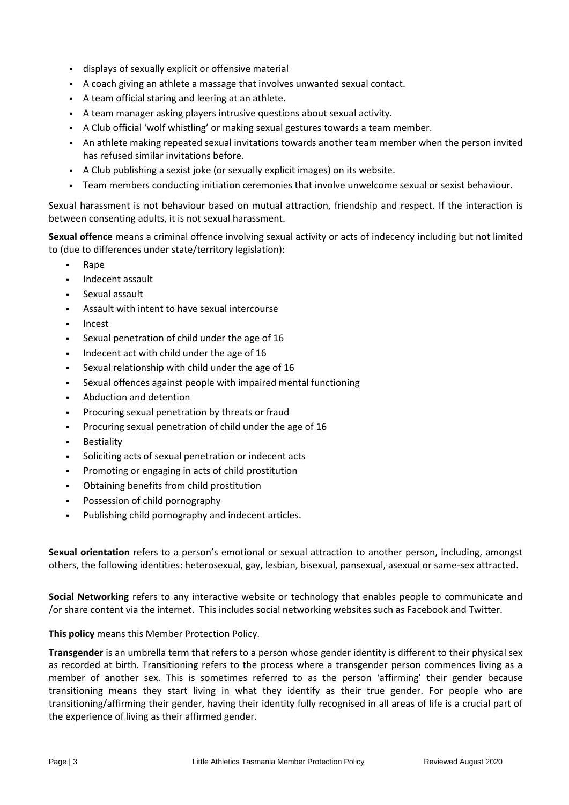- displays of sexually explicit or offensive material
- A coach giving an athlete a massage that involves unwanted sexual contact.
- A team official staring and leering at an athlete.
- A team manager asking players intrusive questions about sexual activity.
- A Club official 'wolf whistling' or making sexual gestures towards a team member.
- An athlete making repeated sexual invitations towards another team member when the person invited has refused similar invitations before.
- A Club publishing a sexist joke (or sexually explicit images) on its website.
- Team members conducting initiation ceremonies that involve unwelcome sexual or sexist behaviour.

Sexual harassment is not behaviour based on mutual attraction, friendship and respect. If the interaction is between consenting adults, it is not sexual harassment.

**Sexual offence** means a criminal offence involving sexual activity or acts of indecency including but not limited to (due to differences under state/territory legislation):

- Rape
- Indecent assault
- Sexual assault
- Assault with intent to have sexual intercourse
- **Incest**
- Sexual penetration of child under the age of 16
- Indecent act with child under the age of 16
- Sexual relationship with child under the age of 16
- Sexual offences against people with impaired mental functioning
- Abduction and detention
- Procuring sexual penetration by threats or fraud
- Procuring sexual penetration of child under the age of 16
- **Bestiality**
- Soliciting acts of sexual penetration or indecent acts
- Promoting or engaging in acts of child prostitution
- Obtaining benefits from child prostitution
- Possession of child pornography
- Publishing child pornography and indecent articles.

**Sexual orientation** refers to a person's emotional or sexual attraction to another person, including, amongst others, the following identities: heterosexual, gay, lesbian, bisexual, pansexual, asexual or same-sex attracted.

**Social Networking** refers to any interactive website or technology that enables people to communicate and /or share content via the internet. This includes social networking websites such as Facebook and Twitter.

**This policy** means this Member Protection Policy.

**Transgender** is an umbrella term that refers to a person whose gender identity is different to their physical sex as recorded at birth. Transitioning refers to the process where a transgender person commences living as a member of another sex. This is sometimes referred to as the person 'affirming' their gender because transitioning means they start living in what they identify as their true gender. For people who are transitioning/affirming their gender, having their identity fully recognised in all areas of life is a crucial part of the experience of living as their affirmed gender.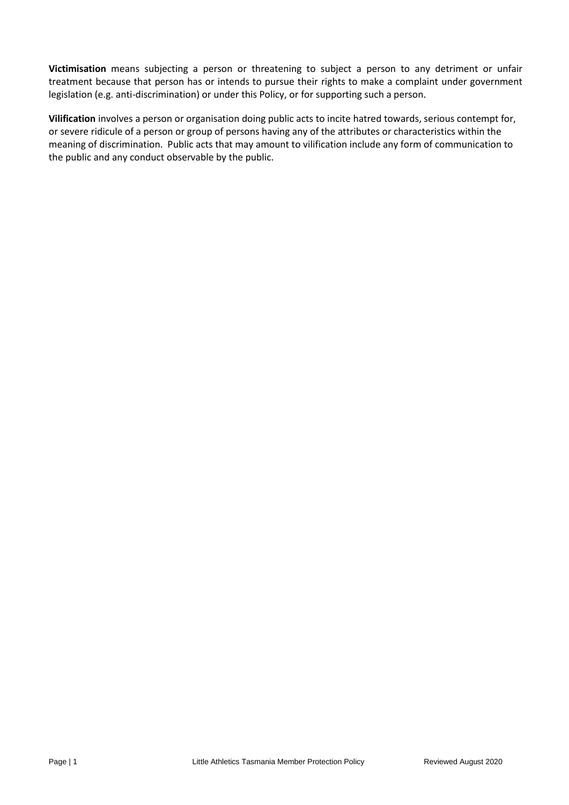**Victimisation** means subjecting a person or threatening to subject a person to any detriment or unfair treatment because that person has or intends to pursue their rights to make a complaint under government legislation (e.g. anti-discrimination) or under this Policy, or for supporting such a person.

**Vilification** involves a person or organisation doing public acts to incite hatred towards, serious contempt for, or severe ridicule of a person or group of persons having any of the attributes or characteristics within the meaning of discrimination. Public acts that may amount to vilification include any form of communication to the public and any conduct observable by the public.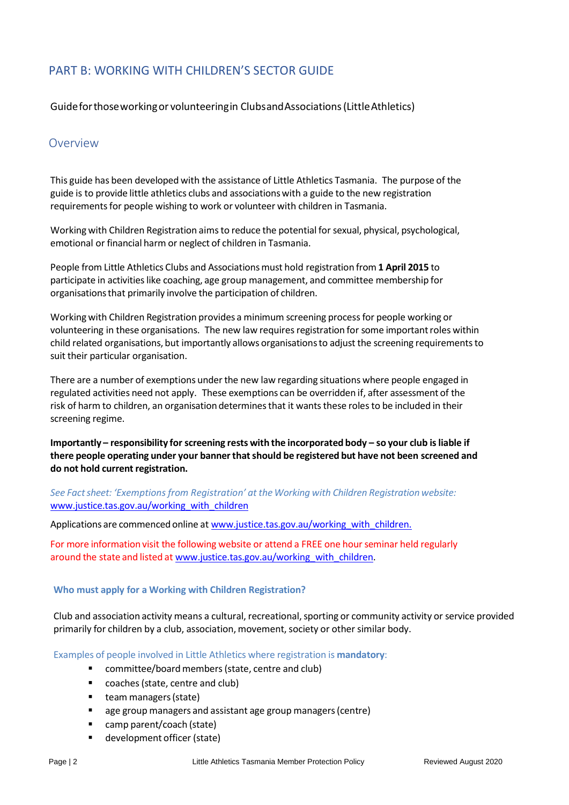## <span id="page-20-0"></span>PART B: WORKING WITH CHILDREN'S SECTOR GUIDE

Guideforthoseworkingor volunteeringin ClubsandAssociations(LittleAthletics)

## <span id="page-20-1"></span>Overview

This guide has been developed with the assistance of Little Athletics Tasmania. The purpose of the guide is to provide little athletics clubs and associationswith a guide to the new registration requirementsfor people wishing to work or volunteer with children in Tasmania.

Working with Children Registration aimsto reduce the potential for sexual, physical, psychological, emotional or financial harm or neglect of children in Tasmania.

People from Little Athletics Clubs and Associationsmust hold registration from **1 April 2015** to participate in activities like coaching, age group management, and committee membership for organisationsthat primarily involve the participation of children.

Working with Children Registration provides a minimum screening processfor people working or volunteering in these organisations. The new law requires registration for some important roles within child related organisations, but importantly allows organisationsto adjust the screening requirementsto suit their particular organisation.

There are a number of exemptions under the new law regarding situations where people engaged in regulated activities need not apply. These exemptions can be overridden if, after assessment of the risk of harm to children, an organisation determines that it wants these roles to be included in their screening regime.

**Importantly – responsibility for screening rests with the incorporated body – so your club isliable if there people operating under your bannerthatshould be registered but have not been screened and do not hold current registration.**

*See Factsheet: 'Exemptions from Registration' at the Working with Children Registration website:* [www.justice.tas.gov.au/working\\_with\\_children](http://www.justice.tas.gov.au/working_with_children)

Applications are commenced online at [www.justice.tas.gov.au/working\\_with\\_children.](http://www.justice.tas.gov.au/working_with_children)

For more information visit the following website or attend a FREE one hourseminar held regularly around the state and listed at [www.justice.tas.gov.au/working\\_with\\_children.](http://www.justice.tas.gov.au/working_with_children)

#### **Who must apply for a Working with Children Registration?**

Club and association activity means a cultural, recreational, sporting or community activity or service provided primarily for children by a club, association, movement, society or other similar body.

Examples of people involved in Little Athletics where registration is **mandatory**:

- committee/board members (state, centre and club)
- coaches (state, centre and club)
- team managers (state)
- age group managers and assistant age group managers (centre)
- camp parent/coach (state)
- development officer (state)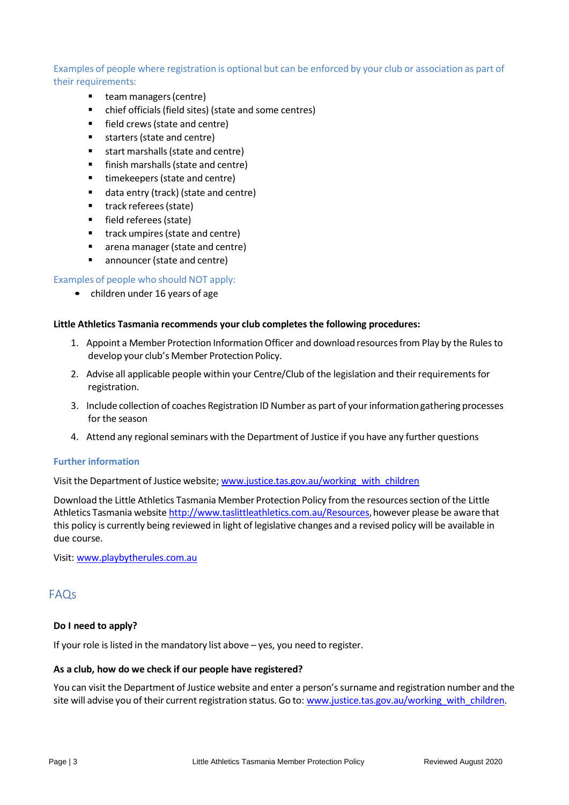## Examples of people where registration is optional but can be enforced by your club or association as part of their requirements:

- team managers (centre)
- chief officials (field sites) (state and some centres)
- field crews (state and centre)
- starters (state and centre)
- start marshalls (state and centre)
- finish marshalls (state and centre)
- timekeepers (state and centre)
- data entry (track) (state and centre)
- track referees (state)
- field referees (state)
- track umpires (state and centre)
- arena manager (state and centre)
- announcer (state and centre)

## Examples of people who should NOT apply:

• children under 16 years of age

## **Little Athletics Tasmania recommends your club completes the following procedures:**

- 1. Appoint a Member Protection Information Officer and download resources from Play by the Rules to develop your club's Member Protection Policy.
- 2. Advise all applicable people within your Centre/Club of the legislation and their requirements for registration.
- 3. Include collection of coaches Registration ID Number as part of yourinformationgathering processes for the season
- 4. Attend any regional seminars with the Department of Justice if you have any further questions

## **Further information**

Visit the Department of Justice website; [www.justice.tas.gov.au/working\\_with\\_children](http://www.justice.tas.gov.au/working_with_children)

Download the Little Athletics Tasmania Member Protection Policy from the resourcessection of the Little Athletics Tasmania website http://www.taslittleathletics.com.au/Resources, however please be aware that this policy is currently being reviewed in light of legislative changes and a revised policy will be available in due course.

Visit: [www.playbytherules.com.au](http://www.playbytherules.com.au/)

## <span id="page-21-0"></span>FAQs

## **Do I need to apply?**

If your role is listed in the mandatory list above – yes, you need to register.

## **As a club, how do we check if our people have registered?**

You can visit the Department of Justice website and enter a person'ssurname and registration number and the site will advise you of their current registration status. Go to: [www.justice.tas.gov.au/working\\_with\\_children.](http://www.justice.tas.gov.au/working_with_children)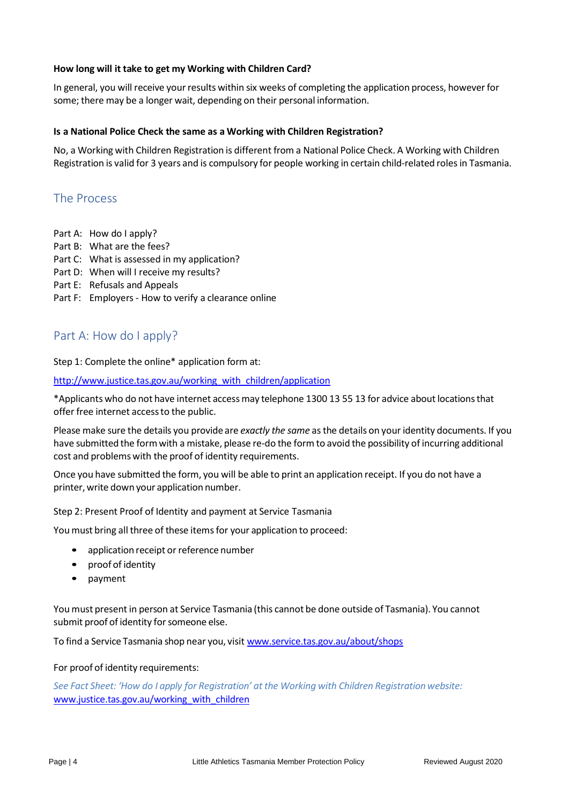## **How long will it take to get my Working with Children Card?**

In general, you will receive your results within six weeks of completing the application process, however for some; there may be a longer wait, depending on their personal information.

## **Is a National Police Check the same as a Working with Children Registration?**

No, a Working with Children Registration is different from a National Police Check. A Working with Children Registration is valid for 3 years and is compulsory for people working in certain child-related rolesin Tasmania.

## <span id="page-22-0"></span>The Process

- Part A: How do I apply?
- Part B: What are the fees?
- Part C: What is assessed in my application?
- Part D: When will I receive my results?
- Part E: Refusals and Appeals
- Part F: Employers How to verify a clearance online

## <span id="page-22-1"></span>Part A: How do I apply?

Step 1: Complete the online\* application form at:

[http://www.justice.tas.gov.au/working\\_with\\_children/application](http://www.justice.tas.gov.au/working_with_children/application)

\*Applicants who do not have internet accessmay telephone 1300 13 55 13 for advice aboutlocationsthat offer free internet accessto the public.

Please make sure the details you provide are *exactly the same* asthe details on your identity documents. If you have submitted the form with a mistake, please re-do the form to avoid the possibility of incurring additional cost and problemswith the proof of identity requirements.

Once you have submitted the form, you will be able to print an application receipt. If you do not have a printer,write down your application number.

Step 2: Present Proof of Identity and payment at Service Tasmania

You must bring all three of these items for your application to proceed:

- application receipt or reference number
- proof of identity
- payment

You must presentin person at Service Tasmania (this cannot be done outside of Tasmania). You cannot submit proof of identity for someone else.

To find a Service Tasmania shop near you, visit [www.service.tas.gov.au/about/shops](http://www.service.tas.gov.au/about/shops)

## For proof of identity requirements:

See Fact Sheet: 'How do I apply for Registration' at the Working with Children Registration website: [www.justice.tas.gov.au/working\\_with\\_children](http://www.justice.tas.gov.au/working_with_children)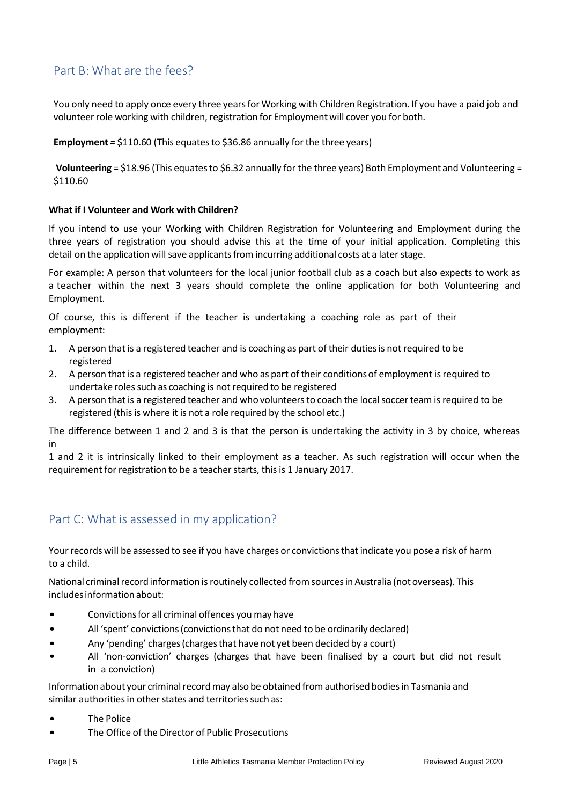## <span id="page-23-0"></span>Part B: What are the fees?

You only need to apply once every three years for Working with Children Registration. If you have a paid job and volunteer role working with children, registration for Employment will cover you for both.

**Employment** = \$110.60 (This equates to \$36.86 annually for the three years)

**Volunteering** = \$18.96 (This equatesto \$6.32 annually for the three years) Both Employment and Volunteering = \$110.60

## **What if I Volunteer and Work with Children?**

If you intend to use your Working with Children Registration for Volunteering and Employment during the three years of registration you should advise this at the time of your initial application. Completing this detail on the application will save applicants from incurring additional costs at a later stage.

For example: A person that volunteers for the local junior football club as a coach but also expects to work as a teacher within the next 3 years should complete the online application for both Volunteering and Employment.

Of course, this is different if the teacher is undertaking a coaching role as part of their employment:

- 1. A person that is a registered teacher and is coaching as part of their dutiesis not required to be registered
- 2. A person that is a registered teacher and who as part of their conditions of employment is required to undertake roles such as coaching is not required to be registered
- 3. A person that is a registered teacher and who volunteersto coach the localsoccerteam isrequired to be registered (this is where it is not a role required by the school etc.)

The difference between 1 and 2 and 3 is that the person is undertaking the activity in 3 by choice, whereas in

1 and 2 it is intrinsically linked to their employment as a teacher. As such registration will occur when the requirement for registration to be a teacher starts, this is 1 January 2017.

## <span id="page-23-1"></span>Part C: What is assessed in my application?

Your records will be assessed to see if you have charges or convictions that indicate you pose a risk of harm to a child.

National criminal record information is routinely collected from sources in Australia (not overseas). This includesinformation about:

- Convictions for all criminal offences you may have
- All 'spent' convictions (convictions that do not need to be ordinarily declared)
- Any 'pending' charges (charges that have not yet been decided by a court)
- All 'non-conviction' charges (charges that have been finalised by a court but did not result in a conviction)

Information about your criminal record may also be obtained from authorised bodies in Tasmania and similar authorities in other states and territories such as:

- The Police
- The Office of the Director of Public Prosecutions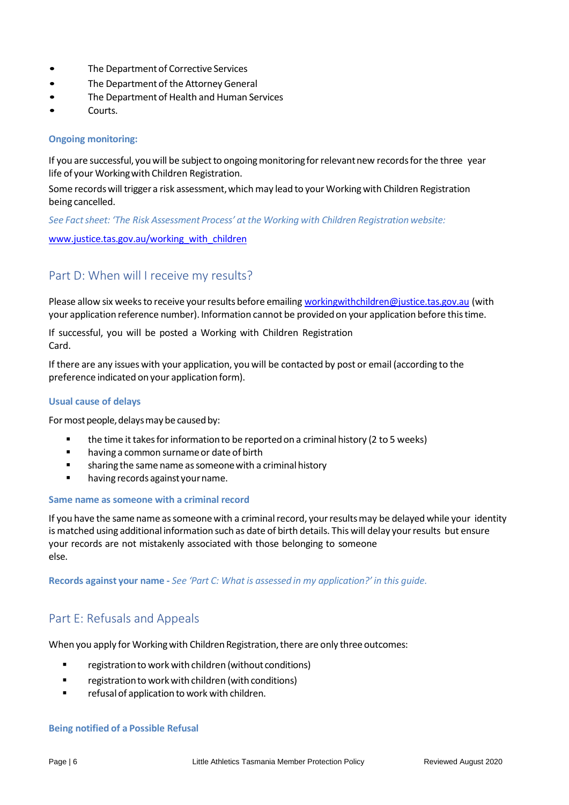- The Department of Corrective Services
- The Department of the Attorney General
- The Department of Health and Human Services
- Courts.

## **Ongoing monitoring:**

If you are successful, you will be subject to ongoing monitoring for relevant new records for the three year life of your Workingwith Children Registration.

Some records will trigger a risk assessment, which may lead to your Working with Children Registration being cancelled.

*See Factsheet: 'The Risk Assessment Process' at the Working with Children Registration website:*

[www.justice.tas.gov.au/working\\_with\\_children](http://www.justice.tas.gov.au/working_with_children)

## <span id="page-24-0"></span>Part D: When will I receive my results?

Please allow six weeks to receive your results before emailing [workingwithchildren@justice.tas.gov.au](mailto:workingwithchildren@justice.tas.gov.au) (with your application reference number). Information cannot be providedon your application before thistime.

If successful, you will be posted a Working with Children Registration Card.

If there are any issues with your application, you will be contacted by post or email (according to the preference indicated on your application form).

#### **Usual cause of delays**

For most people, delays may be caused by:

- the time it takes for information to be reported on a criminal history (2 to 5 weeks)
- having a common surname or date of birth
- sharing the same name as someone with a criminal history
- having records against your name.

#### **Same name as someone with a criminal record**

If you have the same name as someone with a criminal record, your results may be delayed while your identity is matched using additional information such as date of birth details. This will delay yourresults but ensure your records are not mistakenly associated with those belonging to someone else.

Records against your name - See 'Part C: What is assessed in my application?' in this quide.

## <span id="page-24-1"></span>Part E: Refusals and Appeals

When you apply for Working with Children Registration, there are only three outcomes:

- registration to work with children (without conditions)
- registration to work with children (with conditions)
- refusal of application to work with children.

#### **Being notified of a Possible Refusal**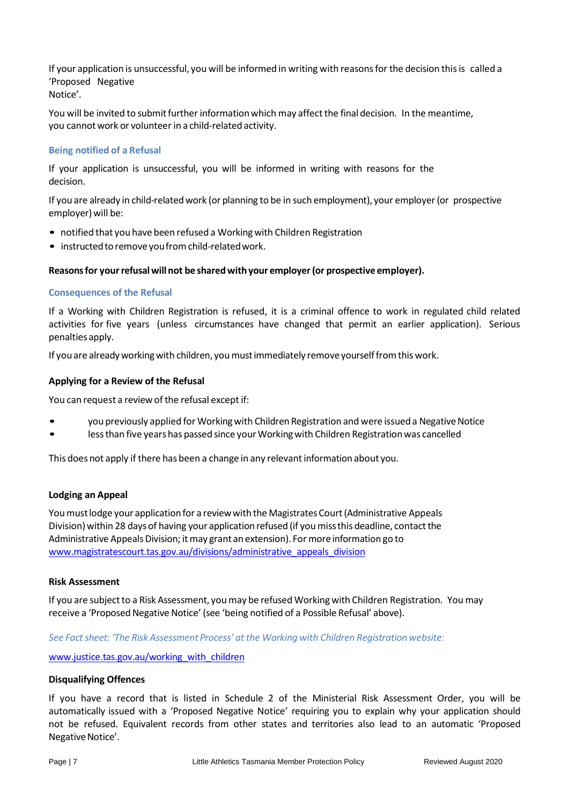If your application is unsuccessful, you will be informed in writing with reasonsfor the decision thisis called a 'Proposed Negative Notice'.

You will be invited to submit further information which may affect the final decision. In the meantime, you cannotwork or volunteerin a child-related activity.

## **Being notified of a Refusal**

If your application is unsuccessful, you will be informed in writing with reasons for the decision.

If you are already in child-relatedwork (or planning to be in such employment), your employer(or prospective employer) will be:

- notified that you have been refused a Working with Children Registration
- instructed to remove you from child-related work.

## **Reasonsfor yourrefusal will not be sharedwithyour employer(or prospective employer).**

## **Consequences of the Refusal**

If a Working with Children Registration is refused, it is a criminal offence to work in regulated child related activities for five years (unless circumstances have changed that permit an earlier application). Serious penaltiesapply.

If you are already working with children, you must immediately remove yourself from this work.

## **Applying for a Review of the Refusal**

You can request a review of the refusal except if:

- you previously applied for Working with Children Registration and were issued a Negative Notice
- less than five years has passed since your Working with Children Registration was cancelled

This does not apply if there has been a change in any relevantinformation about you.

## **Lodging an Appeal**

You must lodge your application for a review with the Magistrates Court (Administrative Appeals Division) within 28 days of having your application refused (if you miss this deadline, contact the Administrative Appeals Division; it may grant an extension). For more information go to [www.magistratescourt.tas.gov.au/divisions/administrative\\_appeals\\_division](http://www.magistratescourt.tas.gov.au/divisions/administrative_appeals_division)

#### **Risk Assessment**

If you are subject to a Risk Assessment, you may be refused Working with Children Registration. You may receive a 'Proposed Negative Notice' (see 'being notified of a Possible Refusal' above).

#### *See Factsheet: 'The Risk AssessmentProcess' at the Working with Children Registration website:*

[www.justice.tas.gov.au/](http://www.justice.tas.gov.au/)working\_with\_children

#### **Disqualifying Offences**

If you have a record that is listed in Schedule 2 of the Ministerial Risk Assessment Order, you will be automatically issued with a 'Proposed Negative Notice' requiring you to explain why your application should not be refused. Equivalent records from other states and territories also lead to an automatic 'Proposed Negative Notice'.